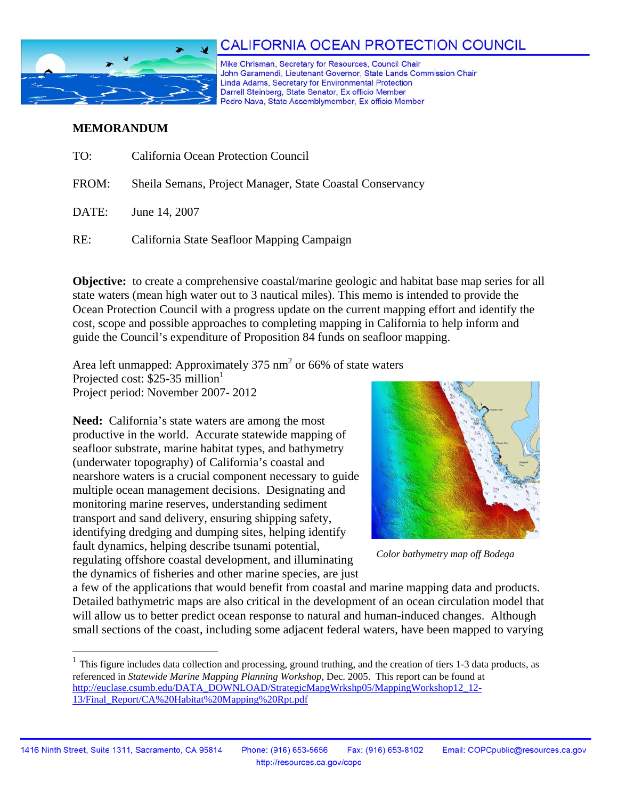

# CALIFORNIA OCEAN PROTECTION COUNCIL

Mike Chrisman, Secretary for Resources, Council Chair John Garamendi, Lieutenant Governor, State Lands Commission Chair Linda Adams, Secretary for Environmental Protection Darrell Steinberg, State Senator, Ex officio Member Pedro Nava, State Assemblymember, Ex officio Member

#### **MEMORANDUM**

 $\overline{a}$ 

| TO:   | California Ocean Protection Council                       |
|-------|-----------------------------------------------------------|
| FROM: | Sheila Semans, Project Manager, State Coastal Conservancy |
| DATE: | June 14, 2007                                             |
| RE:   | California State Seafloor Mapping Campaign                |

**Objective:** to create a comprehensive coastal/marine geologic and habitat base map series for all state waters (mean high water out to 3 nautical miles). This memo is intended to provide the Ocean Protection Council with a progress update on the current mapping effort and identify the cost, scope and possible approaches to completing mapping in California to help inform and guide the Council's expenditure of Proposition 84 funds on seafloor mapping.

Area left unmapped: Approximately 375 nm<sup>2</sup> or 66% of state waters Projected cost: \$25-35 million<sup>1</sup> Project period: November 2007- 2012

**Need:** California's state waters are among the most productive in the world. Accurate statewide mapping of seafloor substrate, marine habitat types, and bathymetry (underwater topography) of California's coastal and nearshore waters is a crucial component necessary to guide multiple ocean management decisions. Designating and monitoring marine reserves, understanding sediment transport and sand delivery, ensuring shipping safety, identifying dredging and dumping sites, helping identify fault dynamics, helping describe tsunami potential, regulating offshore coastal development, and illuminating the dynamics of fisheries and other marine species, are just



*Color bathymetry map off Bodega* 

a few of the applications that would benefit from coastal and marine mapping data and products. Detailed bathymetric maps are also critical in the development of an ocean circulation model that will allow us to better predict ocean response to natural and human-induced changes. Although small sections of the coast, including some adjacent federal waters, have been mapped to varying

 $<sup>1</sup>$  This figure includes data collection and processing, ground truthing, and the creation of tiers 1-3 data products, as</sup> referenced in *Statewide Marine Mapping Planning Workshop,* Dec. 2005. This report can be found at http://euclase.csumb.edu/DATA\_DOWNLOAD/StrategicMapgWrkshp05/MappingWorkshop12\_12-13/Final\_Report/CA%20Habitat%20Mapping%20Rpt.pdf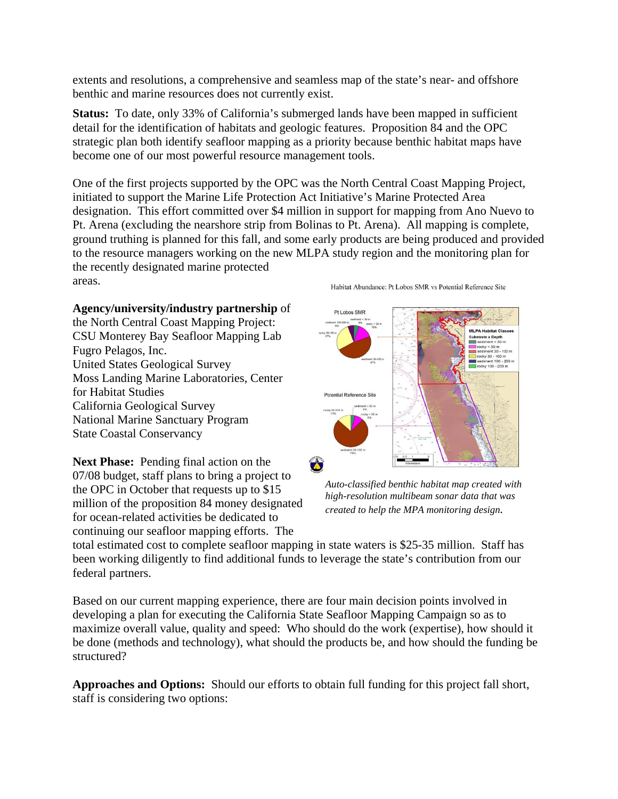extents and resolutions, a comprehensive and seamless map of the state's near- and offshore benthic and marine resources does not currently exist.

**Status:** To date, only 33% of California's submerged lands have been mapped in sufficient detail for the identification of habitats and geologic features. Proposition 84 and the OPC strategic plan both identify seafloor mapping as a priority because benthic habitat maps have become one of our most powerful resource management tools.

One of the first projects supported by the OPC was the North Central Coast Mapping Project, initiated to support the Marine Life Protection Act Initiative's Marine Protected Area designation. This effort committed over \$4 million in support for mapping from Ano Nuevo to Pt. Arena (excluding the nearshore strip from Bolinas to Pt. Arena). All mapping is complete, ground truthing is planned for this fall, and some early products are being produced and provided to the resource managers working on the new MLPA study region and the monitoring plan for the recently designated marine protected areas.

### **Agency/university/industry partnership** of

the North Central Coast Mapping Project: CSU Monterey Bay Seafloor Mapping Lab Fugro Pelagos, Inc. United States Geological Survey Moss Landing Marine Laboratories, Center for Habitat Studies California Geological Survey National Marine Sanctuary Program State Coastal Conservancy

**Next Phase:** Pending final action on the 07/08 budget, staff plans to bring a project to the OPC in October that requests up to \$15 million of the proposition 84 money designated for ocean-related activities be dedicated to continuing our seafloor mapping efforts. The

Habitat Abundance: Pt Lobos SMR vs Potential Reference Site



*Auto-classified benthic habitat map created with high-resolution multibeam sonar data that was created to help the MPA monitoring design.* 

total estimated cost to complete seafloor mapping in state waters is \$25-35 million. Staff has been working diligently to find additional funds to leverage the state's contribution from our federal partners.

Based on our current mapping experience, there are four main decision points involved in developing a plan for executing the California State Seafloor Mapping Campaign so as to maximize overall value, quality and speed: Who should do the work (expertise), how should it be done (methods and technology), what should the products be, and how should the funding be structured?

**Approaches and Options:** Should our efforts to obtain full funding for this project fall short, staff is considering two options: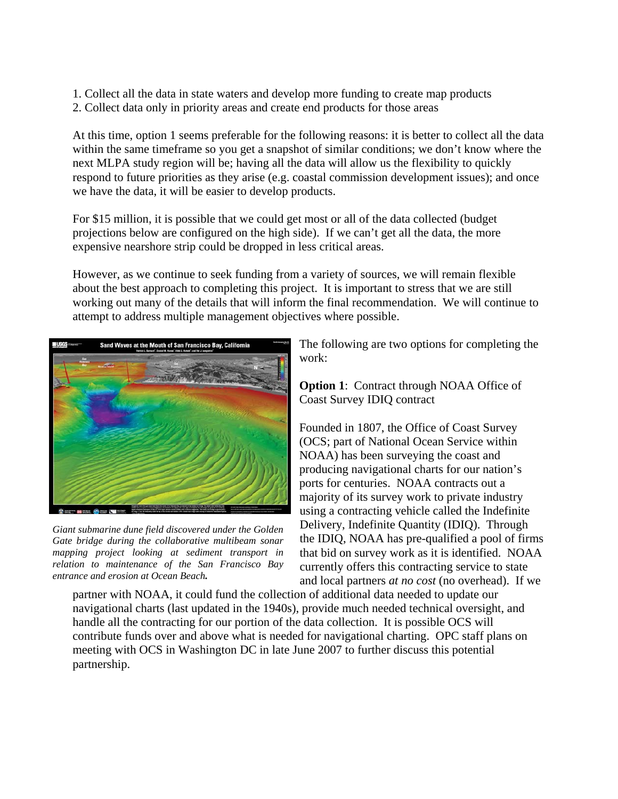1. Collect all the data in state waters and develop more funding to create map products

2. Collect data only in priority areas and create end products for those areas

At this time, option 1 seems preferable for the following reasons: it is better to collect all the data within the same timeframe so you get a snapshot of similar conditions; we don't know where the next MLPA study region will be; having all the data will allow us the flexibility to quickly respond to future priorities as they arise (e.g. coastal commission development issues); and once we have the data, it will be easier to develop products.

For \$15 million, it is possible that we could get most or all of the data collected (budget projections below are configured on the high side). If we can't get all the data, the more expensive nearshore strip could be dropped in less critical areas.

However, as we continue to seek funding from a variety of sources, we will remain flexible about the best approach to completing this project. It is important to stress that we are still working out many of the details that will inform the final recommendation. We will continue to attempt to address multiple management objectives where possible.



*Giant submarine dune field discovered under the Golden Gate bridge during the collaborative multibeam sonar mapping project looking at sediment transport in relation to maintenance of the San Francisco Bay entrance and erosion at Ocean Beach.* 

The following are two options for completing the work:

**Option 1:** Contract through NOAA Office of Coast Survey IDIQ contract

Founded in 1807, the Office of Coast Survey (OCS; part of National Ocean Service within NOAA) has been surveying the coast and producing navigational charts for our nation's ports for centuries. NOAA contracts out a majority of its survey work to private industry using a contracting vehicle called the Indefinite Delivery, Indefinite Quantity (IDIQ). Through the IDIQ, NOAA has pre-qualified a pool of firms that bid on survey work as it is identified. NOAA currently offers this contracting service to state and local partners *at no cost* (no overhead). If we

partner with NOAA, it could fund the collection of additional data needed to update our navigational charts (last updated in the 1940s), provide much needed technical oversight, and handle all the contracting for our portion of the data collection. It is possible OCS will contribute funds over and above what is needed for navigational charting. OPC staff plans on meeting with OCS in Washington DC in late June 2007 to further discuss this potential partnership.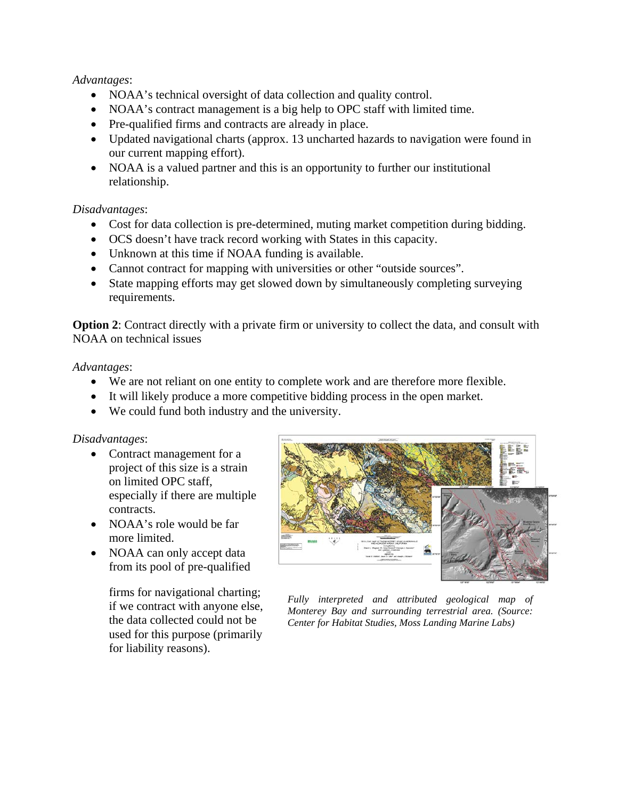## *Advantages*:

- NOAA's technical oversight of data collection and quality control.
- NOAA's contract management is a big help to OPC staff with limited time.
- Pre-qualified firms and contracts are already in place.
- Updated navigational charts (approx. 13 uncharted hazards to navigation were found in our current mapping effort).
- NOAA is a valued partner and this is an opportunity to further our institutional relationship.

## *Disadvantages*:

- Cost for data collection is pre-determined, muting market competition during bidding.
- OCS doesn't have track record working with States in this capacity.
- Unknown at this time if NOAA funding is available.
- Cannot contract for mapping with universities or other "outside sources".
- State mapping efforts may get slowed down by simultaneously completing surveying requirements.

**Option 2**: Contract directly with a private firm or university to collect the data, and consult with NOAA on technical issues

## *Advantages*:

- We are not reliant on one entity to complete work and are therefore more flexible.
- It will likely produce a more competitive bidding process in the open market.
- We could fund both industry and the university.

### *Disadvantages*:

- Contract management for a project of this size is a strain on limited OPC staff, especially if there are multiple contracts.
- NOAA's role would be far more limited.
- NOAA can only accept data from its pool of pre-qualified

firms for navigational charting; if we contract with anyone else, the data collected could not be used for this purpose (primarily for liability reasons).



*Fully interpreted and attributed geological map of Monterey Bay and surrounding terrestrial area. (Source: Center for Habitat Studies, Moss Landing Marine Labs)*